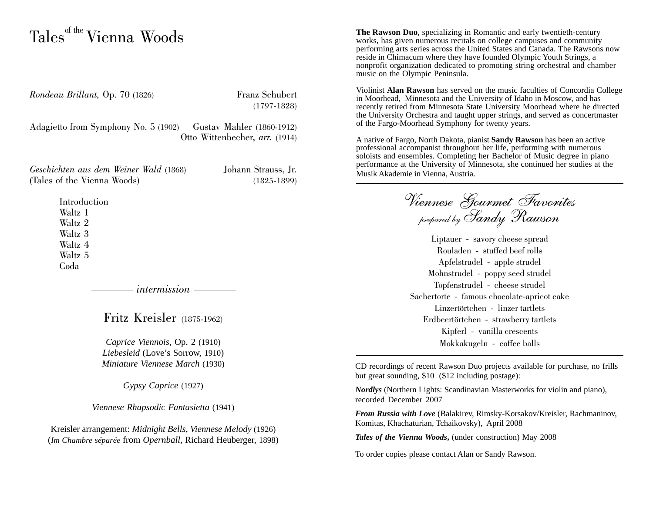## $\mathrm{Tables}^{\text{\tiny{off}\,the}}$  Vienna Woods

*Rondeau Brillant, Op. 70 (1826)* Franz Schubert

(1797-1828)

Adagietto from Symphony No. 5 (1902) Gustav Mahler (1860-1912) Otto Wittenbecher, *arr.* (1914)

*Geschichten aus dem Weiner Wald* (1868) Johann Strauss, Jr. (Tales of the Vienna Woods) (1825-1899)

**Introduction** Waltz 1 Waltz 2 Waltz 3 Waltz 4 Waltz 5 Coda

*intermission*

Fritz Kreisler (1875-1962)

*Caprice Viennois*, Op. 2 (1910) *Liebesleid* (Love's Sorrow, 1910) *Miniature Viennese March* (1930)

*Gypsy Caprice* (1927)

*Viennese Rhapsodic Fantasietta* (1941)

Kreisler arrangement: *Midnight Bells, Viennese Melody* (1926) (*Im Chambre séparée* from *Opernball*, Richard Heuberger, 1898)

**The Rawson Duo**, specializing in Romantic and early twentieth-century works, has given numerous recitals on college campuses and community performing arts series across the United States and Canada. The Rawsons now reside in Chimacum where they have founded Olympic Youth Strings, a nonprofit organization dedicated to promoting string orchestral and chamber music on the Olympic Peninsula.

Violinist **Alan Rawson** has served on the music faculties of Concordia College in Moorhead, Minnesota and the University of Idaho in Moscow, and has recently retired from Minnesota State University Moorhead where he directed the University Orchestra and taught upper strings, and served as concertmaster of the Fargo-Moorhead Symphony for twenty years.

A native of Fargo, North Dakota, pianist **Sandy Rawson** has been an active professional accompanist throughout her life, performing with numerous soloists and ensembles. Completing her Bachelor of Music degree in piano performance at the University of Minnesota, she continued her studies at the Musik Akademie in Vienna, Austria.

Viennese Gourmet Favorites prepared by Sandy Rawson

Liptauer - savory cheese spread Rouladen - stuffed beef rolls Apfelstrudel - apple strudel Mohnstrudel - poppy seed strudel Topfenstrudel - cheese strudel Sachertorte - famous chocolate-apricot cake Linzertörtchen - linzer tartlets Erdbeertörtchen - strawberry tartlets Kipferl - vanilla crescents Mokkakugeln - coffee balls

CD recordings of recent Rawson Duo projects available for purchase, no frills but great sounding, \$10 (\$12 including postage):

*Nordlys* (Northern Lights: Scandinavian Masterworks for violin and piano), recorded December 2007

*From Russia with Love* (Balakirev, Rimsky-Korsakov/Kreisler, Rachmaninov, Komitas, Khachaturian, Tchaikovsky), April 2008

*Tales of the Vienna Woods***,** (under construction) May 2008

To order copies please contact Alan or Sandy Rawson.